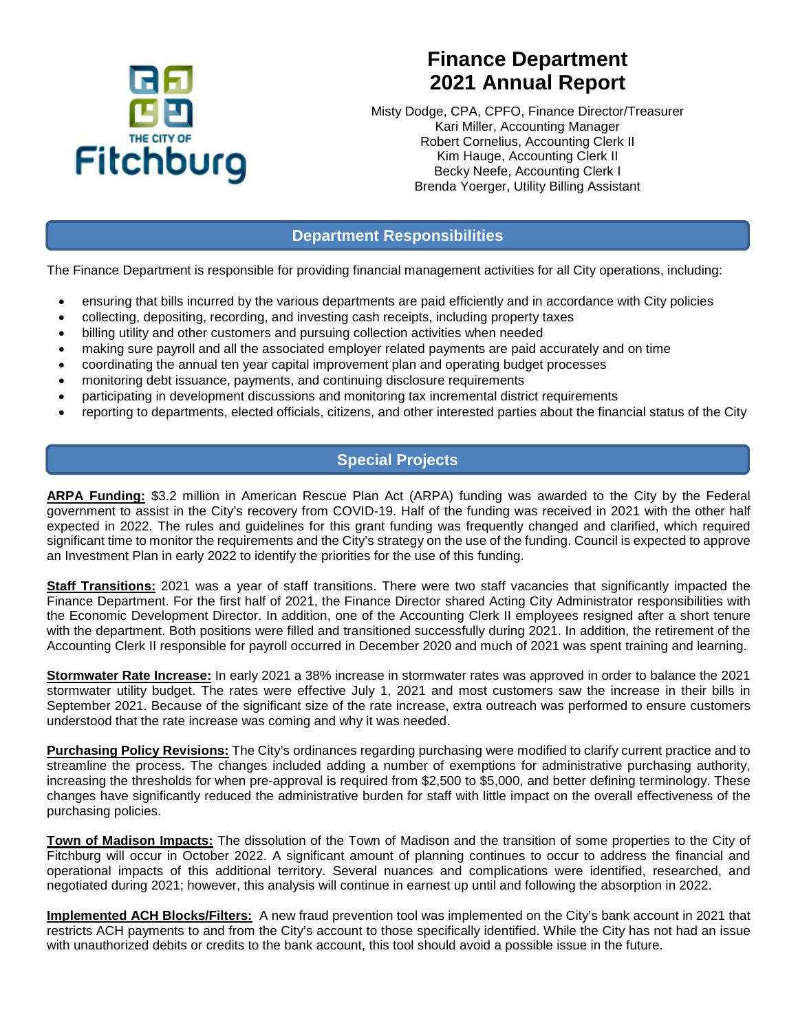

# **Finance Department 2021 Annual Report**

Misty Dodge, CPA, CPFO, Finance Director/Treasurer Kari Miller, Accounting Manager Robert Cornelius, Accounting Clerk II Kim Hauge, Accounting Clerk II Becky Neefe, Accounting Clerk I Brenda Yoerger, Utility Billing Assistant

## **Department Responsibilities**

The Finance Department is responsible for providing financial management activities for all City operations, including:

- ensuring that bills incurred by the various departments are paid efficiently and in accordance with City policies
- collecting, depositing, recording, and investing cash receipts, including property taxes
- billing utility and other customers and pursuing collection activities when needed
- making sure payroll and all the associated employer related payments are paid accurately and on time
- coordinating the annual ten year capital improvement plan and operating budget processes
- monitoring debt issuance, payments, and continuing disclosure requirements
- participating in development discussions and monitoring tax incremental district requirements
- reporting to departments, elected officials, citizens, and other interested parties about the financial status of the City

# **Special Projects**

**ARPA Funding:** \$3.2 million in American Rescue Plan Act (ARPA) funding was awarded to the City by the Federal government to assist in the City's recovery from COVID-19. Half of the funding was received in 2021 with the other half expected in 2022. The rules and guidelines for this grant funding was frequently changed and clarified, which required significant time to monitor the requirements and the City's strategy on the use of the funding. Council is expected to approve an Investment Plan in early 2022 to identify the priorities for the use of this funding.

**Staff Transitions:** 2021 was a year of staff transitions. There were two staff vacancies that significantly impacted the Finance Department. For the first half of 2021, the Finance Director shared Acting City Administrator responsibilities with the Economic Development Director. In addition, one of the Accounting Clerk II employees resigned after a short tenure with the department. Both positions were filled and transitioned successfully during 2021. In addition, the retirement of the Accounting Clerk II responsible for payroll occurred in December 2020 and much of 2021 was spent training and learning.

**Stormwater Rate Increase:** In early 2021 a 38% increase in stormwater rates was approved in order to balance the 2021 stormwater utility budget. The rates were effective July 1, 2021 and most customers saw the increase in their bills in September 2021. Because of the significant size of the rate increase, extra outreach was performed to ensure customers understood that the rate increase was coming and why it was needed.

**Purchasing Policy Revisions:** The City's ordinances regarding purchasing were modified to clarify current practice and to streamline the process. The changes included adding a number of exemptions for administrative purchasing authority, increasing the thresholds for when pre-approval is required from \$2,500 to \$5,000, and better defining terminology. These changes have significantly reduced the administrative burden for staff with little impact on the overall effectiveness of the purchasing policies.

**Town of Madison Impacts:** The dissolution of the Town of Madison and the transition of some properties to the City of Fitchburg will occur in October 2022. A significant amount of planning continues to occur to address the financial and operational impacts of this additional territory. Several nuances and complications were identified, researched, and negotiated during 2021; however, this analysis will continue in earnest up until and following the absorption in 2022.

**Implemented ACH Blocks/Filters:** A new fraud prevention tool was implemented on the City's bank account in 2021 that restricts ACH payments to and from the City's account to those specifically identified. While the City has not had an issue with unauthorized debits or credits to the bank account, this tool should avoid a possible issue in the future.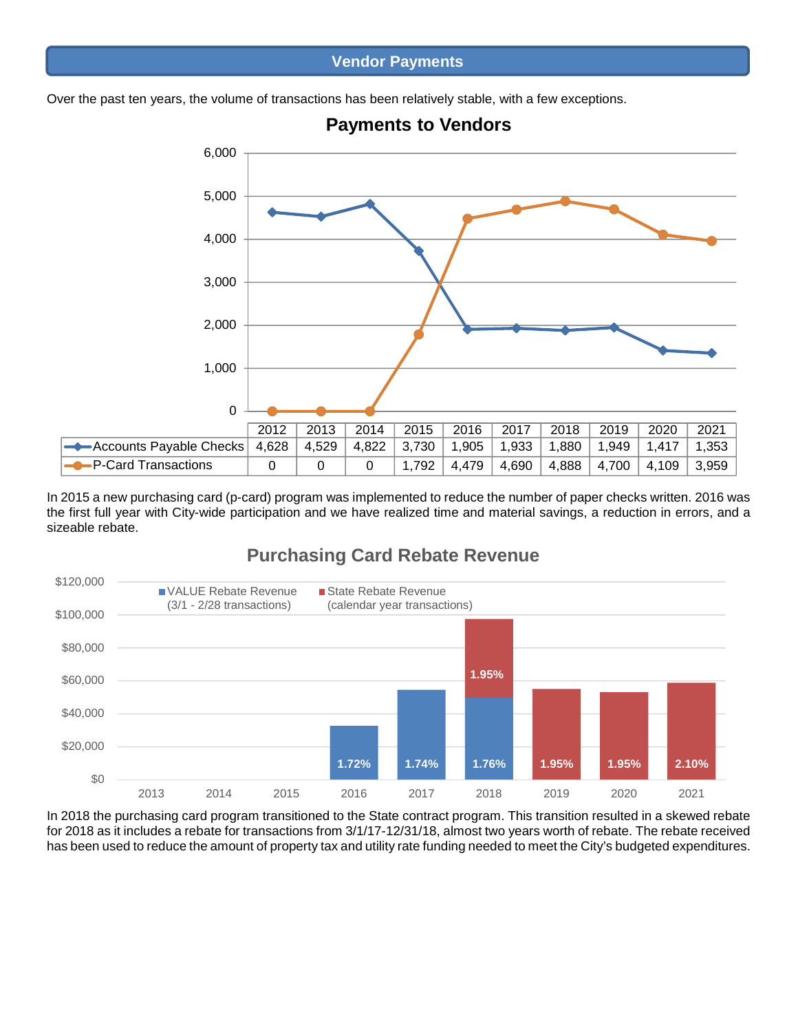#### **Vendor Payments**

Over the past ten years, the volume of transactions has been relatively stable, with a few exceptions.



**Payments to Vendors**

In 2015 a new purchasing card (p-card) program was implemented to reduce the number of paper checks written. 2016 was the first full year with City-wide participation and we have realized time and material savings, a reduction in errors, and a sizeable rebate.

# **Purchasing Card Rebate Revenue**



In 2018 the purchasing card program transitioned to the State contract program. This transition resulted in a skewed rebate for 2018 as it includes a rebate for transactions from 3/1/17-12/31/18, almost two years worth of rebate. The rebate received has been used to reduce the amount of property tax and utility rate funding needed to meet the City's budgeted expenditures.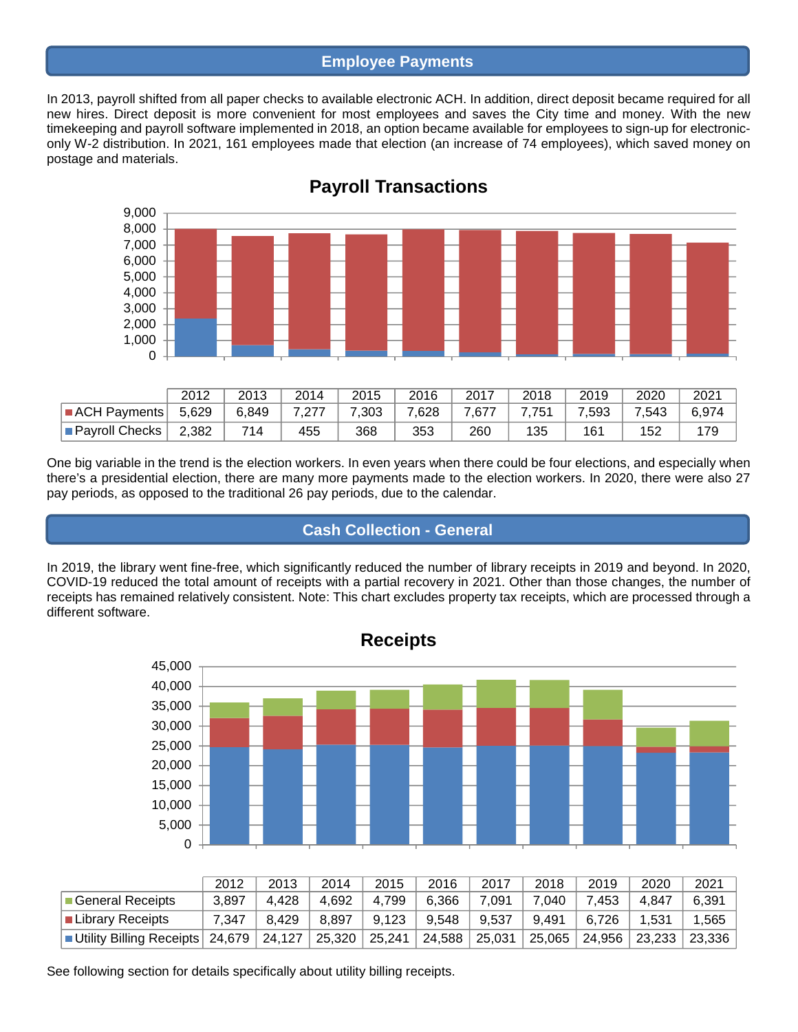#### **Employee Payments**

In 2013, payroll shifted from all paper checks to available electronic ACH. In addition, direct deposit became required for all new hires. Direct deposit is more convenient for most employees and saves the City time and money. With the new timekeeping and payroll software implemented in 2018, an option became available for employees to sign-up for electroniconly W-2 distribution. In 2021, 161 employees made that election (an increase of 74 employees), which saved money on postage and materials.



# **Payroll Transactions**

One big variable in the trend is the election workers. In even years when there could be four elections, and especially when there's a presidential election, there are many more payments made to the election workers. In 2020, there were also 27 pay periods, as opposed to the traditional 26 pay periods, due to the calendar.

# **Cash Collection - General**

In 2019, the library went fine-free, which significantly reduced the number of library receipts in 2019 and beyond. In 2020, COVID-19 reduced the total amount of receipts with a partial recovery in 2021. Other than those changes, the number of receipts has remained relatively consistent. Note: This chart excludes property tax receipts, which are processed through a different software.



|                                                                                                                                        | 2012  | 2013  | 2014  | 2015  | 2016                                                  | 2017  | 2018  | 2019  | 2020  | 2021  |
|----------------------------------------------------------------------------------------------------------------------------------------|-------|-------|-------|-------|-------------------------------------------------------|-------|-------|-------|-------|-------|
| ■General Receipts                                                                                                                      | 3,897 | 4.428 | 4.692 | 4.799 | 6.366                                                 | 7.091 | 7.040 | 7.453 | 4.847 | 6,391 |
| I Library Receipts                                                                                                                     | 7.347 | 8.429 |       |       | 8,897   9,123   9,548   9,537   9,491   6,726   1,531 |       |       |       |       | 1,565 |
| Lility Billing Receipts 24,679 24,127 25,320 25,241 24,588 25,031 25,065 24,956 23,233 23,336 ■ Utility Billing Receipts 24,679 24,127 |       |       |       |       |                                                       |       |       |       |       |       |

See following section for details specifically about utility billing receipts.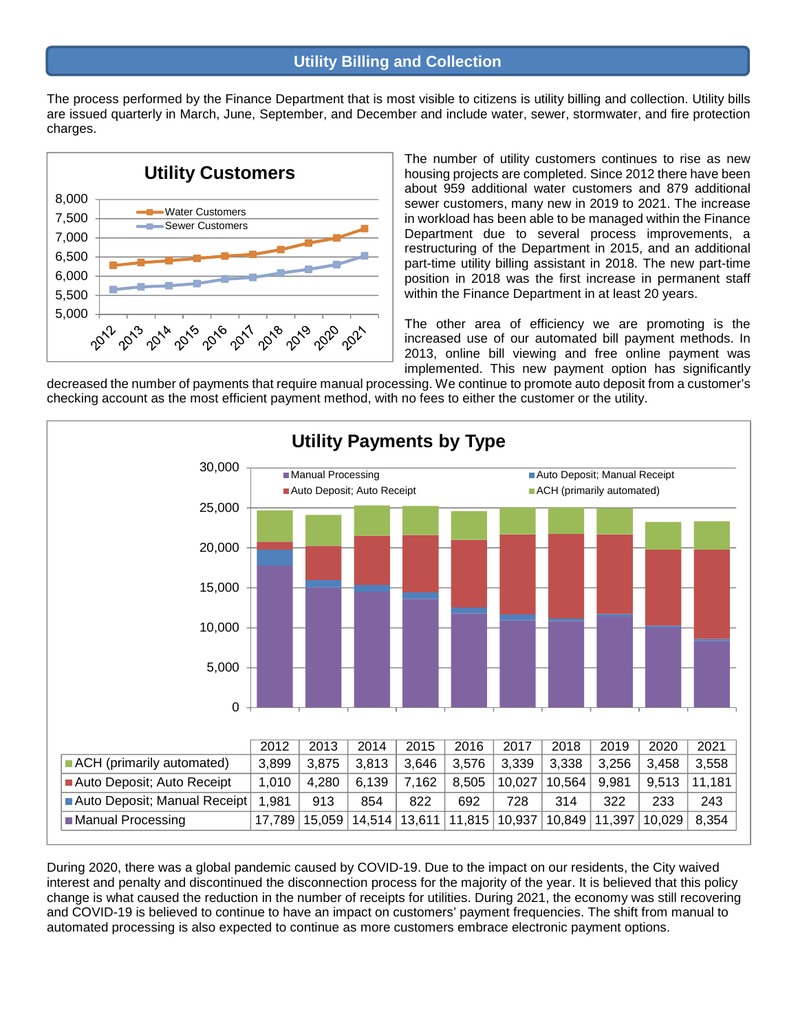### **Utility Billing and Collection**

The process performed by the Finance Department that is most visible to citizens is utility billing and collection. Utility bills are issued quarterly in March, June, September, and December and include water, sewer, stormwater, and fire protection charges.



The number of utility customers continues to rise as new housing projects are completed. Since 2012 there have been about 959 additional water customers and 879 additional sewer customers, many new in 2019 to 2021. The increase in workload has been able to be managed within the Finance Department due to several process improvements, a restructuring of the Department in 2015, and an additional part-time utility billing assistant in 2018. The new part-time position in 2018 was the first increase in permanent staff within the Finance Department in at least 20 years.

The other area of efficiency we are promoting is the increased use of our automated bill payment methods. In 2013, online bill viewing and free online payment was implemented. This new payment option has significantly

decreased the number of payments that require manual processing. We continue to promote auto deposit from a customer's checking account as the most efficient payment method, with no fees to either the customer or the utility.



During 2020, there was a global pandemic caused by COVID-19. Due to the impact on our residents, the City waived interest and penalty and discontinued the disconnection process for the majority of the year. It is believed that this policy change is what caused the reduction in the number of receipts for utilities. During 2021, the economy was still recovering and COVID-19 is believed to continue to have an impact on customers' payment frequencies. The shift from manual to automated processing is also expected to continue as more customers embrace electronic payment options.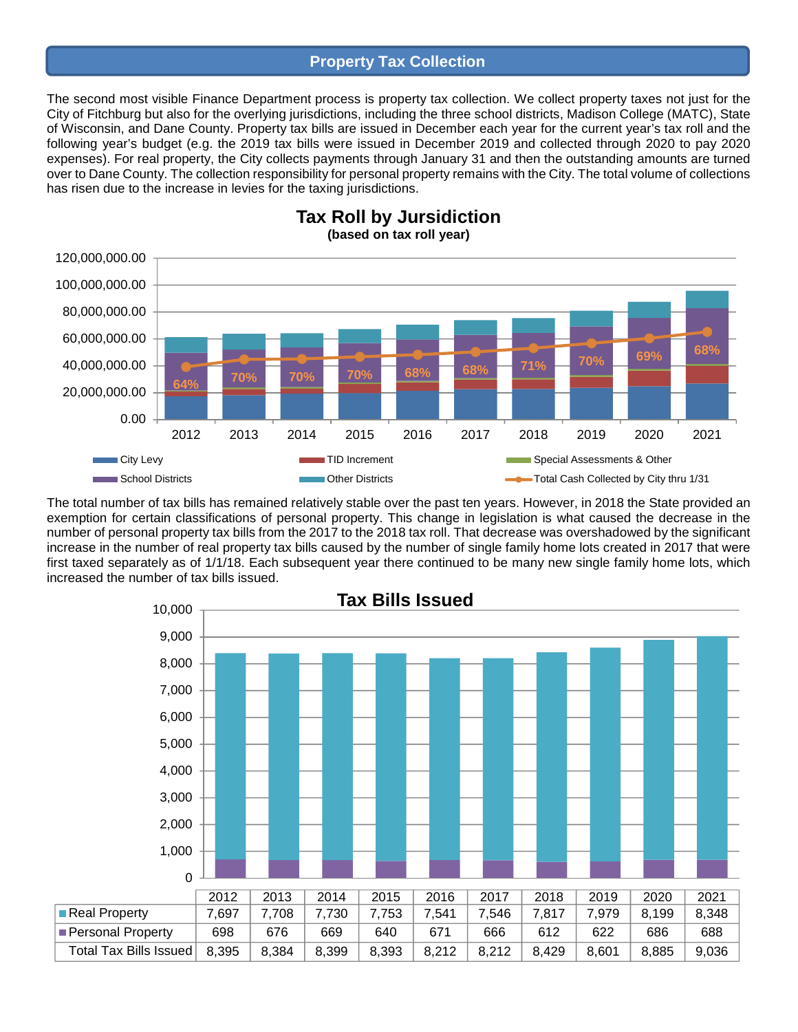#### **Property Tax Collection**

The second most visible Finance Department process is property tax collection. We collect property taxes not just for the City of Fitchburg but also for the overlying jurisdictions, including the three school districts, Madison College (MATC), State of Wisconsin, and Dane County. Property tax bills are issued in December each year for the current year's tax roll and the following year's budget (e.g. the 2019 tax bills were issued in December 2019 and collected through 2020 to pay 2020 expenses). For real property, the City collects payments through January 31 and then the outstanding amounts are turned over to Dane County. The collection responsibility for personal property remains with the City. The total volume of collections has risen due to the increase in levies for the taxing jurisdictions.



**Tax Roll by Jursidiction (based on tax roll year)**

The total number of tax bills has remained relatively stable over the past ten years. However, in 2018 the State provided an exemption for certain classifications of personal property. This change in legislation is what caused the decrease in the number of personal property tax bills from the 2017 to the 2018 tax roll. That decrease was overshadowed by the significant increase in the number of real property tax bills caused by the number of single family home lots created in 2017 that were first taxed separately as of 1/1/18. Each subsequent year there continued to be many new single family home lots, which increased the number of tax bills issued.

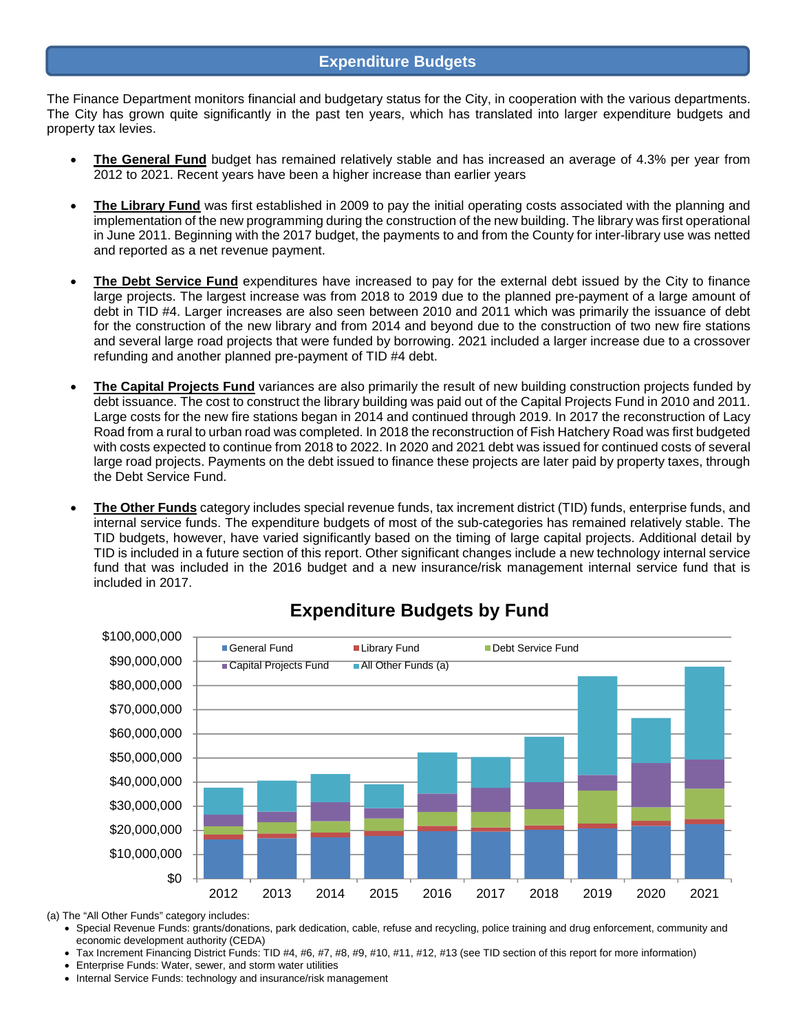The Finance Department monitors financial and budgetary status for the City, in cooperation with the various departments. The City has grown quite significantly in the past ten years, which has translated into larger expenditure budgets and property tax levies.

- **The General Fund** budget has remained relatively stable and has increased an average of 4.3% per year from 2012 to 2021. Recent years have been a higher increase than earlier years
- **The Library Fund** was first established in 2009 to pay the initial operating costs associated with the planning and implementation of the new programming during the construction of the new building. The library was first operational in June 2011. Beginning with the 2017 budget, the payments to and from the County for inter-library use was netted and reported as a net revenue payment.
- **The Debt Service Fund** expenditures have increased to pay for the external debt issued by the City to finance large projects. The largest increase was from 2018 to 2019 due to the planned pre-payment of a large amount of debt in TID #4. Larger increases are also seen between 2010 and 2011 which was primarily the issuance of debt for the construction of the new library and from 2014 and beyond due to the construction of two new fire stations and several large road projects that were funded by borrowing. 2021 included a larger increase due to a crossover refunding and another planned pre-payment of TID #4 debt.
- **The Capital Projects Fund** variances are also primarily the result of new building construction projects funded by debt issuance. The cost to construct the library building was paid out of the Capital Projects Fund in 2010 and 2011. Large costs for the new fire stations began in 2014 and continued through 2019. In 2017 the reconstruction of Lacy Road from a rural to urban road was completed. In 2018 the reconstruction of Fish Hatchery Road was first budgeted with costs expected to continue from 2018 to 2022. In 2020 and 2021 debt was issued for continued costs of several large road projects. Payments on the debt issued to finance these projects are later paid by property taxes, through the Debt Service Fund.
- **The Other Funds** category includes special revenue funds, tax increment district (TID) funds, enterprise funds, and internal service funds. The expenditure budgets of most of the sub-categories has remained relatively stable. The TID budgets, however, have varied significantly based on the timing of large capital projects. Additional detail by TID is included in a future section of this report. Other significant changes include a new technology internal service fund that was included in the 2016 budget and a new insurance/risk management internal service fund that is included in 2017.



# **Expenditure Budgets by Fund**

(a) The "All Other Funds" category includes:

- Special Revenue Funds: grants/donations, park dedication, cable, refuse and recycling, police training and drug enforcement, community and economic development authority (CEDA)
- Tax Increment Financing District Funds: TID #4, #6, #7, #8, #9, #10, #11, #12, #13 (see TID section of this report for more information)
- Enterprise Funds: Water, sewer, and storm water utilities
- Internal Service Funds: technology and insurance/risk management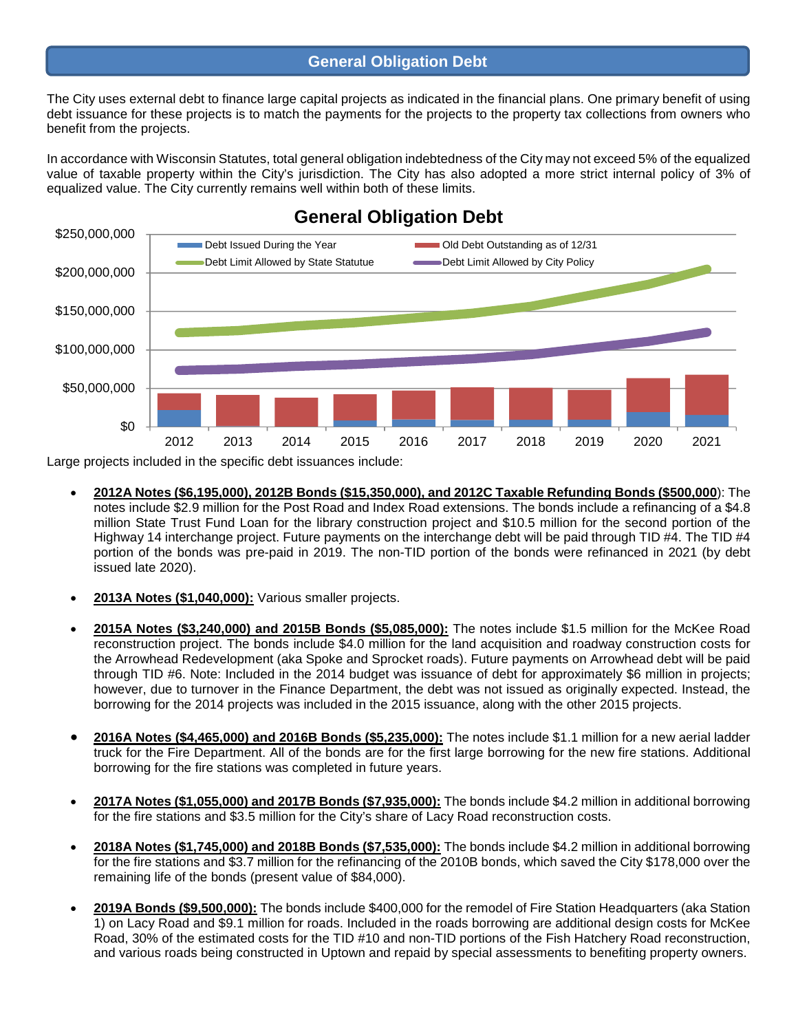#### **General Obligation Debt**

The City uses external debt to finance large capital projects as indicated in the financial plans. One primary benefit of using debt issuance for these projects is to match the payments for the projects to the property tax collections from owners who benefit from the projects.

In accordance with Wisconsin Statutes, total general obligation indebtedness of the City may not exceed 5% of the equalized value of taxable property within the City's jurisdiction. The City has also adopted a more strict internal policy of 3% of equalized value. The City currently remains well within both of these limits.



# **General Obligation Debt**

Large projects included in the specific debt issuances include:

- **2012A Notes (\$6,195,000), 2012B Bonds (\$15,350,000), and 2012C Taxable Refunding Bonds (\$500,000**): The notes include \$2.9 million for the Post Road and Index Road extensions. The bonds include a refinancing of a \$4.8 million State Trust Fund Loan for the library construction project and \$10.5 million for the second portion of the Highway 14 interchange project. Future payments on the interchange debt will be paid through TID #4. The TID #4 portion of the bonds was pre-paid in 2019. The non-TID portion of the bonds were refinanced in 2021 (by debt issued late 2020).
- **2013A Notes (\$1,040,000):** Various smaller projects.
- **2015A Notes (\$3,240,000) and 2015B Bonds (\$5,085,000):** The notes include \$1.5 million for the McKee Road reconstruction project. The bonds include \$4.0 million for the land acquisition and roadway construction costs for the Arrowhead Redevelopment (aka Spoke and Sprocket roads). Future payments on Arrowhead debt will be paid through TID #6. Note: Included in the 2014 budget was issuance of debt for approximately \$6 million in projects; however, due to turnover in the Finance Department, the debt was not issued as originally expected. Instead, the borrowing for the 2014 projects was included in the 2015 issuance, along with the other 2015 projects.
- **2016A Notes (\$4,465,000) and 2016B Bonds (\$5,235,000):** The notes include \$1.1 million for a new aerial ladder truck for the Fire Department. All of the bonds are for the first large borrowing for the new fire stations. Additional borrowing for the fire stations was completed in future years.
- **2017A Notes (\$1,055,000) and 2017B Bonds (\$7,935,000):** The bonds include \$4.2 million in additional borrowing for the fire stations and \$3.5 million for the City's share of Lacy Road reconstruction costs.
- **2018A Notes (\$1,745,000) and 2018B Bonds (\$7,535,000):** The bonds include \$4.2 million in additional borrowing for the fire stations and \$3.7 million for the refinancing of the 2010B bonds, which saved the City \$178,000 over the remaining life of the bonds (present value of \$84,000).
- **2019A Bonds (\$9,500,000):** The bonds include \$400,000 for the remodel of Fire Station Headquarters (aka Station 1) on Lacy Road and \$9.1 million for roads. Included in the roads borrowing are additional design costs for McKee Road, 30% of the estimated costs for the TID #10 and non-TID portions of the Fish Hatchery Road reconstruction, and various roads being constructed in Uptown and repaid by special assessments to benefiting property owners.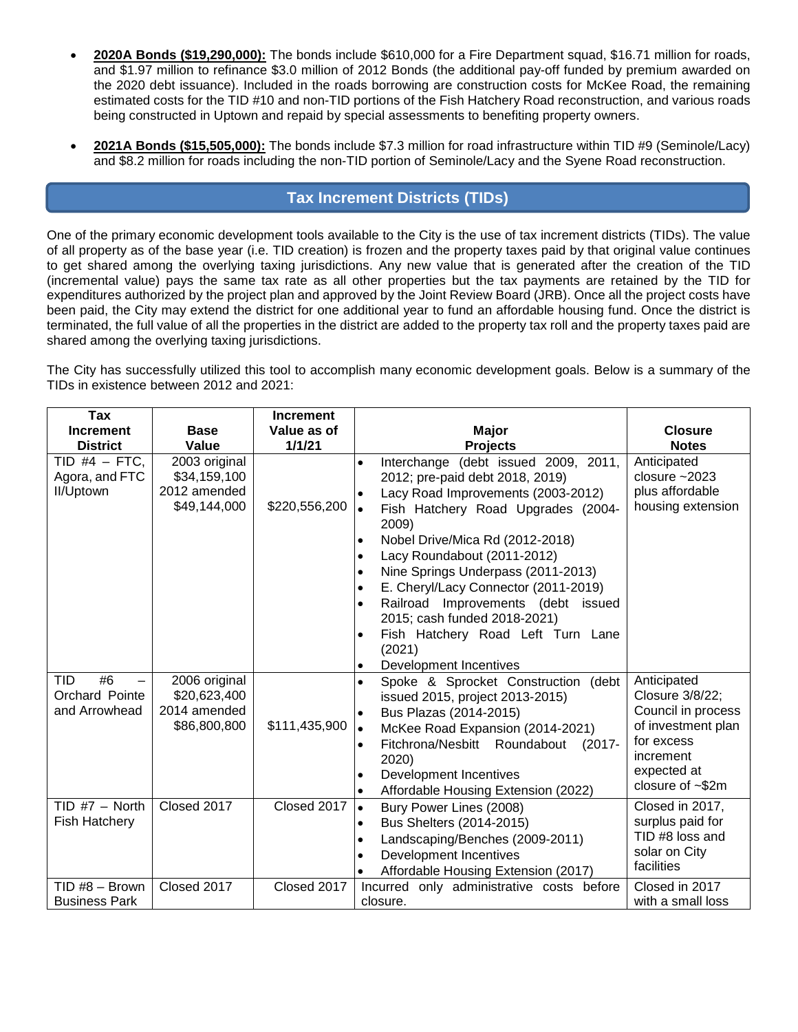- **2020A Bonds (\$19,290,000):** The bonds include \$610,000 for a Fire Department squad, \$16.71 million for roads, and \$1.97 million to refinance \$3.0 million of 2012 Bonds (the additional pay-off funded by premium awarded on the 2020 debt issuance). Included in the roads borrowing are construction costs for McKee Road, the remaining estimated costs for the TID #10 and non-TID portions of the Fish Hatchery Road reconstruction, and various roads being constructed in Uptown and repaid by special assessments to benefiting property owners.
- **2021A Bonds (\$15,505,000):** The bonds include \$7.3 million for road infrastructure within TID #9 (Seminole/Lacy) and \$8.2 million for roads including the non-TID portion of Seminole/Lacy and the Syene Road reconstruction.

## **Tax Increment Districts (TIDs)**

One of the primary economic development tools available to the City is the use of tax increment districts (TIDs). The value of all property as of the base year (i.e. TID creation) is frozen and the property taxes paid by that original value continues to get shared among the overlying taxing jurisdictions. Any new value that is generated after the creation of the TID (incremental value) pays the same tax rate as all other properties but the tax payments are retained by the TID for expenditures authorized by the project plan and approved by the Joint Review Board (JRB). Once all the project costs have been paid, the City may extend the district for one additional year to fund an affordable housing fund. Once the district is terminated, the full value of all the properties in the district are added to the property tax roll and the property taxes paid are shared among the overlying taxing jurisdictions.

The City has successfully utilized this tool to accomplish many economic development goals. Below is a summary of the TIDs in existence between 2012 and 2021:

| Tax                                                 |                                                               | <b>Increment</b> |                                                                                                                                                                                                                                                                                                                                                                                                                                                                                                                    |                                                                                                                                                |
|-----------------------------------------------------|---------------------------------------------------------------|------------------|--------------------------------------------------------------------------------------------------------------------------------------------------------------------------------------------------------------------------------------------------------------------------------------------------------------------------------------------------------------------------------------------------------------------------------------------------------------------------------------------------------------------|------------------------------------------------------------------------------------------------------------------------------------------------|
| <b>Increment</b>                                    | <b>Base</b>                                                   | Value as of      | <b>Major</b>                                                                                                                                                                                                                                                                                                                                                                                                                                                                                                       | <b>Closure</b>                                                                                                                                 |
| <b>District</b>                                     | Value                                                         | 1/1/21           | <b>Projects</b>                                                                                                                                                                                                                                                                                                                                                                                                                                                                                                    | <b>Notes</b>                                                                                                                                   |
| TID #4 $-$ FTC.<br>Agora, and FTC<br>II/Uptown      | 2003 original<br>\$34,159,100<br>2012 amended<br>\$49,144,000 | \$220,556,200    | (debt issued 2009, 2011,<br>Interchange<br>2012; pre-paid debt 2018, 2019)<br>Lacy Road Improvements (2003-2012)<br>Fish Hatchery Road Upgrades (2004-<br>$\bullet$<br>2009)<br>Nobel Drive/Mica Rd (2012-2018)<br>$\bullet$<br>Lacy Roundabout (2011-2012)<br>$\bullet$<br>Nine Springs Underpass (2011-2013)<br>$\bullet$<br>E. Cheryl/Lacy Connector (2011-2019)<br>$\bullet$<br>Railroad Improvements (debt issued<br>2015; cash funded 2018-2021)<br>Fish Hatchery Road Left Turn Lane<br>$\bullet$<br>(2021) | Anticipated<br>closure $~2023$<br>plus affordable<br>housing extension                                                                         |
| #6<br><b>TID</b><br>Orchard Pointe<br>and Arrowhead | 2006 original<br>\$20,623,400<br>2014 amended<br>\$86,800,800 | \$111,435,900    | Development Incentives<br>$\bullet$<br>Spoke & Sprocket Construction (debt<br>$\bullet$<br>issued 2015, project 2013-2015)<br>Bus Plazas (2014-2015)<br>McKee Road Expansion (2014-2021)<br>$\bullet$<br>Fitchrona/Nesbitt Roundabout<br>$(2017 -$<br>$\bullet$<br>2020)<br>Development Incentives<br>$\bullet$<br>Affordable Housing Extension (2022)                                                                                                                                                             | Anticipated<br>Closure 3/8/22;<br>Council in process<br>of investment plan<br>for excess<br>increment<br>expected at<br>closure of $\sim$ \$2m |
| TID $#7 - North$<br>Fish Hatchery                   | Closed 2017                                                   | Closed 2017      | Bury Power Lines (2008)<br>$\bullet$<br>Bus Shelters (2014-2015)<br>$\bullet$<br>Landscaping/Benches (2009-2011)<br>$\bullet$<br>Development Incentives<br>$\bullet$<br>Affordable Housing Extension (2017)                                                                                                                                                                                                                                                                                                        | Closed in 2017,<br>surplus paid for<br>TID #8 loss and<br>solar on City<br>facilities                                                          |
| TID #8 - Brown<br><b>Business Park</b>              | Closed 2017                                                   | Closed 2017      | Incurred only administrative costs before<br>closure.                                                                                                                                                                                                                                                                                                                                                                                                                                                              | Closed in 2017<br>with a small loss                                                                                                            |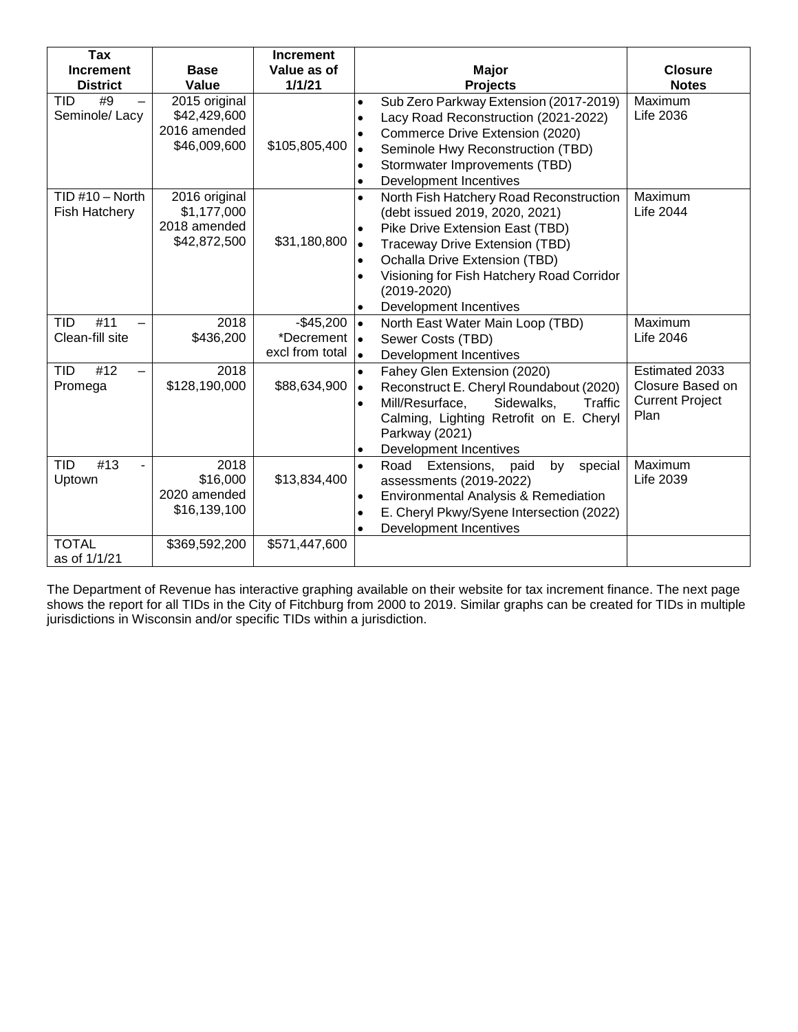| Tax                             |                            | <b>Increment</b> |                                                        |                        |
|---------------------------------|----------------------------|------------------|--------------------------------------------------------|------------------------|
| <b>Increment</b>                | Value as of<br><b>Base</b> |                  | <b>Major</b>                                           | <b>Closure</b>         |
| <b>District</b>                 | Value                      | 1/1/21           | <b>Projects</b>                                        | <b>Notes</b>           |
| #9<br>TID                       | 2015 original              |                  | Sub Zero Parkway Extension (2017-2019)<br>$\bullet$    | Maximum                |
| Seminole/Lacy                   | \$42,429,600               |                  | Lacy Road Reconstruction (2021-2022)<br>$\bullet$      | Life 2036              |
|                                 | 2016 amended               |                  | Commerce Drive Extension (2020)<br>٠                   |                        |
|                                 | \$46,009,600               | \$105,805,400    | Seminole Hwy Reconstruction (TBD)<br>$\bullet$         |                        |
|                                 |                            |                  | Stormwater Improvements (TBD)                          |                        |
|                                 |                            |                  | Development Incentives<br>$\bullet$                    |                        |
| $TID #10 - North$               | 2016 original              |                  | North Fish Hatchery Road Reconstruction<br>$\bullet$   | Maximum                |
| Fish Hatchery                   | \$1,177,000                |                  | (debt issued 2019, 2020, 2021)                         | <b>Life 2044</b>       |
|                                 | 2018 amended               |                  | Pike Drive Extension East (TBD)<br>$\bullet$           |                        |
|                                 | \$42,872,500               | \$31,180,800     | Traceway Drive Extension (TBD)<br>$\bullet$            |                        |
|                                 |                            |                  | Ochalla Drive Extension (TBD)                          |                        |
|                                 |                            |                  | Visioning for Fish Hatchery Road Corridor              |                        |
|                                 |                            |                  | $(2019 - 2020)$                                        |                        |
|                                 |                            |                  | Development Incentives                                 |                        |
| #11<br><b>TID</b>               | 2018                       | $-$45,200$       | $\bullet$<br>North East Water Main Loop (TBD)          | Maximum                |
| Clean-fill site                 | \$436,200                  | *Decrement       | Sewer Costs (TBD)<br>$\bullet$                         | <b>Life 2046</b>       |
|                                 |                            | excl from total  | Development Incentives<br>$\bullet$                    |                        |
| #12<br><b>TID</b>               | 2018                       |                  | Fahey Glen Extension (2020)                            | Estimated 2033         |
| Promega                         | \$128,190,000              | \$88,634,900     | Reconstruct E. Cheryl Roundabout (2020)<br>$\bullet$   | Closure Based on       |
|                                 |                            |                  | Mill/Resurface,<br>Sidewalks,<br>Traffic               | <b>Current Project</b> |
|                                 |                            |                  | Calming, Lighting Retrofit on E. Cheryl                | Plan                   |
|                                 |                            |                  | Parkway (2021)                                         |                        |
|                                 |                            |                  | <b>Development Incentives</b><br>٠                     |                        |
| $\overline{4}$ 13<br><b>TID</b> | 2018                       |                  | Road Extensions,<br>by<br>special<br>paid<br>$\bullet$ | Maximum                |
| Uptown                          | \$16,000                   | \$13,834,400     | assessments (2019-2022)                                | <b>Life 2039</b>       |
|                                 | 2020 amended               |                  | Environmental Analysis & Remediation                   |                        |
|                                 | \$16,139,100               |                  | E. Cheryl Pkwy/Syene Intersection (2022)               |                        |
|                                 |                            |                  | Development Incentives                                 |                        |
| <b>TOTAL</b>                    | \$369,592,200              | \$571,447,600    |                                                        |                        |
| as of 1/1/21                    |                            |                  |                                                        |                        |

The Department of Revenue has interactive graphing available on their website for tax increment finance. The next page shows the report for all TIDs in the City of Fitchburg from 2000 to 2019. Similar graphs can be created for TIDs in multiple jurisdictions in Wisconsin and/or specific TIDs within a jurisdiction.